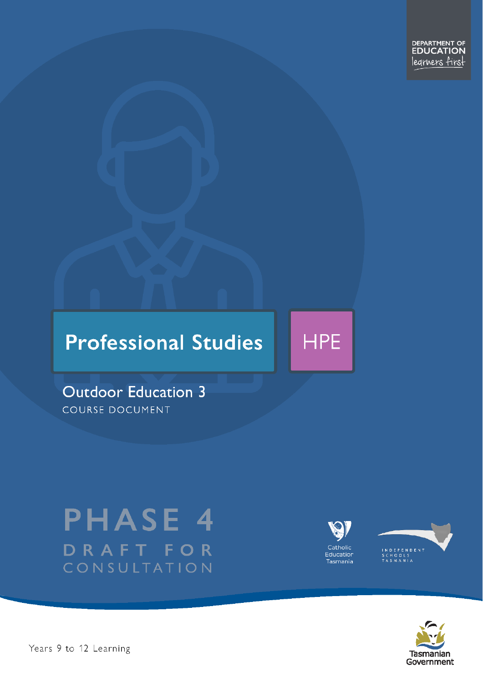DEPARTMENT OF<br>**EDUCATION** learners first

# **Professional Studies**



**Outdoor Education 3** COURSE DOCUMENT

# **PHASE 4** DRAFT FOR CONSULTATION







Pears 9 to 12 Learning – Outdoor Education Dramatic Level 3 Page 1 of 34 Page 1 of 34 Page 1 of 34 Page 1 of 34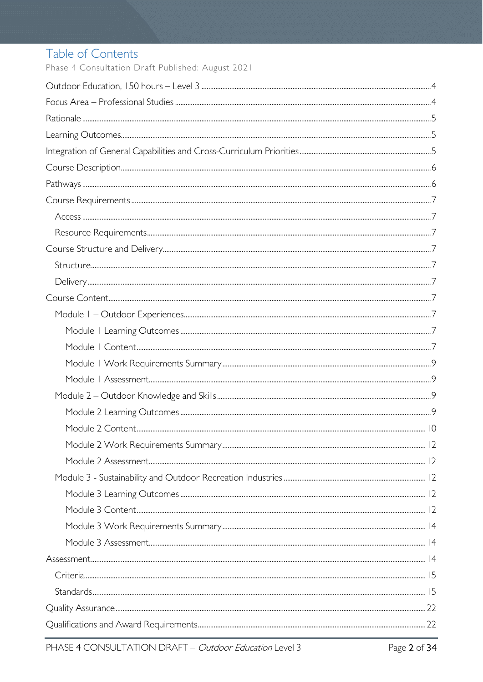# Table of Contents

Phase 4 Consultation Draft Published: August 2021

| $Stand arcs. 15$ |  |
|------------------|--|
|                  |  |
|                  |  |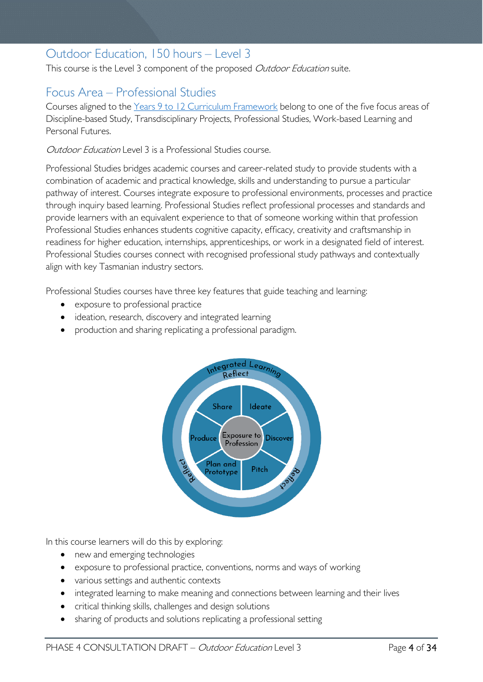# <span id="page-3-0"></span>Outdoor Education, 150 hours – Level 3

This course is the Level 3 component of the proposed Outdoor Education suite.

# <span id="page-3-1"></span>Focus Area – Professional Studies

Courses aligned to the [Years 9 to 12 Curriculum Framework](https://publicdocumentcentre.education.tas.gov.au/library/Shared%20Documents/Education%209-12%20Frameworks%20A3%20WEB%20POSTER.pdf) belong to one of the five focus areas of Discipline-based Study, Transdisciplinary Projects, Professional Studies, Work-based Learning and Personal Futures.

Outdoor Education Level 3 is a Professional Studies course.

Professional Studies bridges academic courses and career-related study to provide students with a combination of academic and practical knowledge, skills and understanding to pursue a particular pathway of interest. Courses integrate exposure to professional environments, processes and practice through inquiry based learning. Professional Studies reflect professional processes and standards and provide learners with an equivalent experience to that of someone working within that profession Professional Studies enhances students cognitive capacity, efficacy, creativity and craftsmanship in readiness for higher education, internships, apprenticeships, or work in a designated field of interest. Professional Studies courses connect with recognised professional study pathways and contextually align with key Tasmanian industry sectors.

Professional Studies courses have three key features that guide teaching and learning:

- exposure to professional practice
- ideation, research, discovery and integrated learning
- production and sharing replicating a professional paradigm.



In this course learners will do this by exploring:

- new and emerging technologies
- exposure to professional practice, conventions, norms and ways of working
- various settings and authentic contexts
- integrated learning to make meaning and connections between learning and their lives
- critical thinking skills, challenges and design solutions
- sharing of products and solutions replicating a professional setting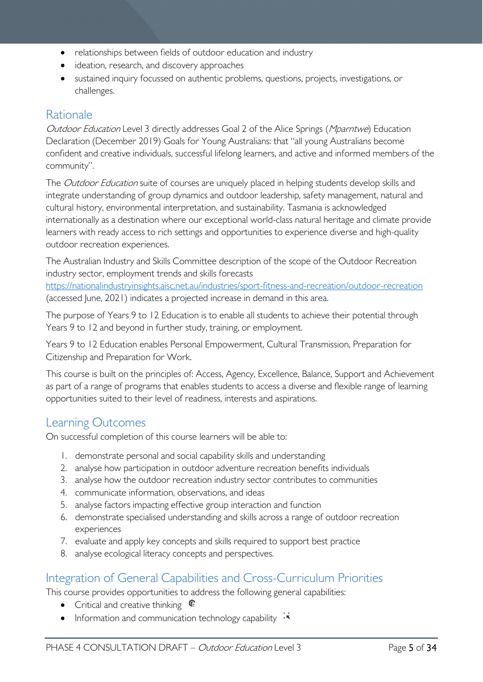- relationships between fields of outdoor education and industry
- ideation, research, and discovery approaches
- sustained inquiry focussed on authentic problems, questions, projects, investigations, or challenges.

## <span id="page-4-0"></span>Rationale

Outdoor Education Level 3 directly addresses Goal 2 of the Alice Springs (Mparntwe) Education Declaration (December 2019) Goals for Young Australians: that "all young Australians become confident and creative individuals, successful lifelong learners, and active and informed members of the community".

The *Outdoor Education* suite of courses are uniquely placed in helping students develop skills and integrate understanding of group dynamics and outdoor leadership, safety management, natural and cultural history, environmental interpretation, and sustainability. Tasmania is acknowledged internationally as a destination where our exceptional world-class natural heritage and climate provide learners with ready access to rich settings and opportunities to experience diverse and high-quality outdoor recreation experiences.

The Australian Industry and Skills Committee description of the scope of the Outdoor Recreation industry sector, employment trends and skills forecasts

<https://nationalindustryinsights.aisc.net.au/industries/sport-fitness-and-recreation/outdoor-recreation> (accessed June, 2021) indicates a projected increase in demand in this area.

The purpose of Years 9 to 12 Education is to enable all students to achieve their potential through Years 9 to 12 and beyond in further study, training, or employment.

Years 9 to 12 Education enables Personal Empowerment, Cultural Transmission, Preparation for Citizenship and Preparation for Work.

This course is built on the principles of: Access, Agency, Excellence, Balance, Support and Achievement as part of a range of programs that enables students to access a diverse and flexible range of learning opportunities suited to their level of readiness, interests and aspirations.

# <span id="page-4-1"></span>Learning Outcomes

On successful completion of this course learners will be able to:

- 1. demonstrate personal and social capability skills and understanding
- 2. analyse how participation in outdoor adventure recreation benefits individuals
- 3. analyse how the outdoor recreation industry sector contributes to communities
- 4. communicate information, observations, and ideas
- 5. analyse factors impacting effective group interaction and function
- 6. demonstrate specialised understanding and skills across a range of outdoor recreation experiences
- 7. evaluate and apply key concepts and skills required to support best practice
- 8. analyse ecological literacy concepts and perspectives.

# <span id="page-4-2"></span>Integration of General Capabilities and Cross-Curriculum Priorities

This course provides opportunities to address the following general capabilities:

- Critical and creative thinking  $\epsilon$
- Information and communication technology capability  $\cdot \cdot$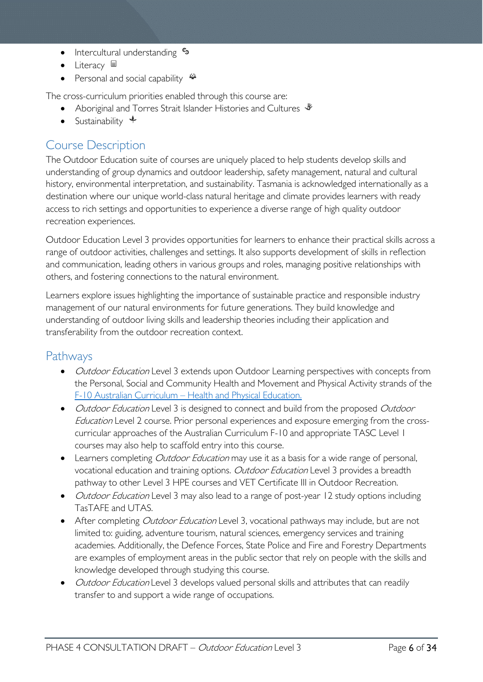- Intercultural understanding  $\epsilon_3$
- Literacy  $\blacksquare$
- Personal and social capability  $\ddot{\bullet}$

The cross-curriculum priorities enabled through this course are:

- Aboriginal and Torres Strait Islander Histories and Cultures  $\mathscr W$
- Sustainability  $\triangleleft$

# <span id="page-5-0"></span>Course Description

The Outdoor Education suite of courses are uniquely placed to help students develop skills and understanding of group dynamics and outdoor leadership, safety management, natural and cultural history, environmental interpretation, and sustainability. Tasmania is acknowledged internationally as a destination where our unique world-class natural heritage and climate provides learners with ready access to rich settings and opportunities to experience a diverse range of high quality outdoor recreation experiences.

Outdoor Education Level 3 provides opportunities for learners to enhance their practical skills across a range of outdoor activities, challenges and settings. It also supports development of skills in reflection and communication, leading others in various groups and roles, managing positive relationships with others, and fostering connections to the natural environment.

Learners explore issues highlighting the importance of sustainable practice and responsible industry management of our natural environments for future generations. They build knowledge and understanding of outdoor living skills and leadership theories including their application and transferability from the outdoor recreation context.

### <span id="page-5-1"></span>Pathways

- *Outdoor Education* Level 3 extends upon Outdoor Learning perspectives with concepts from the Personal, Social and Community Health and Movement and Physical Activity strands of the [F-10 Australian Curriculum – Health and Physical Education.](http://www.australiancurriculum.edu.au/health-and-physical-education/curriculum/f-10?layout=1)
- *Outdoor Education* Level 3 is designed to connect and build from the proposed *Outdoor* Education Level 2 course. Prior personal experiences and exposure emerging from the crosscurricular approaches of the Australian Curriculum F-10 and appropriate TASC Level 1 courses may also help to scaffold entry into this course.
- Learners completing *Outdoor Education* may use it as a basis for a wide range of personal, vocational education and training options. Outdoor Education Level 3 provides a breadth pathway to other Level 3 HPE courses and VET Certificate III in Outdoor Recreation.
- *Outdoor Education* Level 3 may also lead to a range of post-year 12 study options including TasTAFE and UTAS.
- After completing *Outdoor Education* Level 3, vocational pathways may include, but are not limited to: guiding, adventure tourism, natural sciences, emergency services and training academies. Additionally, the Defence Forces, State Police and Fire and Forestry Departments are examples of employment areas in the public sector that rely on people with the skills and knowledge developed through studying this course.
- *Outdoor Education* Level 3 develops valued personal skills and attributes that can readily transfer to and support a wide range of occupations.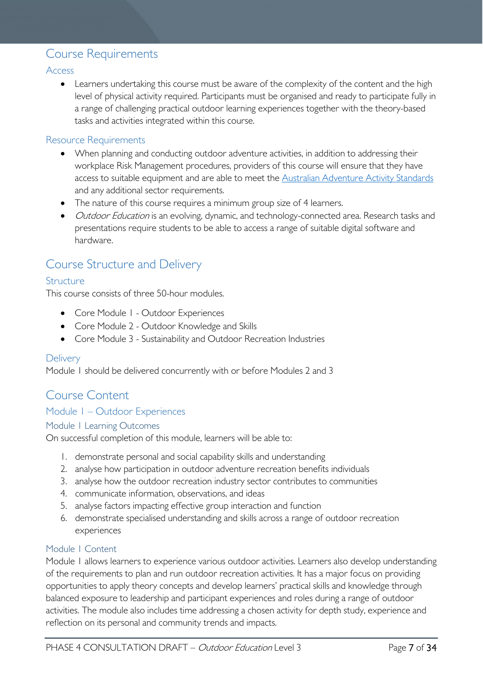## <span id="page-6-0"></span>Course Requirements

#### <span id="page-6-1"></span>Access

• Learners undertaking this course must be aware of the complexity of the content and the high level of physical activity required. Participants must be organised and ready to participate fully in a range of challenging practical outdoor learning experiences together with the theory-based tasks and activities integrated within this course.

#### <span id="page-6-2"></span>Resource Requirements

- When planning and conducting outdoor adventure activities, in addition to addressing their workplace Risk Management procedures, providers of this course will ensure that they have access to suitable equipment and are able to meet the [Australian Adventure Activity Standards](https://australianaas.org.au/) and any additional sector requirements.
- The nature of this course requires a minimum group size of 4 learners.
- *Outdoor Education* is an evolving, dynamic, and technology-connected area. Research tasks and presentations require students to be able to access a range of suitable digital software and hardware.

## <span id="page-6-3"></span>Course Structure and Delivery

#### <span id="page-6-4"></span>Structure

This course consists of three 50-hour modules.

- Core Module I Outdoor Experiences
- Core Module 2 Outdoor Knowledge and Skills
- Core Module 3 Sustainability and Outdoor Recreation Industries

#### <span id="page-6-5"></span>**Delivery**

Module 1 should be delivered concurrently with or before Modules 2 and 3

### <span id="page-6-6"></span>Course Content

#### <span id="page-6-7"></span>Module 1 – Outdoor Experiences

#### <span id="page-6-8"></span>Module 1 Learning Outcomes

On successful completion of this module, learners will be able to:

- 1. demonstrate personal and social capability skills and understanding
- 2. analyse how participation in outdoor adventure recreation benefits individuals
- 3. analyse how the outdoor recreation industry sector contributes to communities
- 4. communicate information, observations, and ideas
- 5. analyse factors impacting effective group interaction and function
- 6. demonstrate specialised understanding and skills across a range of outdoor recreation experiences

#### <span id="page-6-9"></span>Module 1 Content

Module 1 allows learners to experience various outdoor activities. Learners also develop understanding of the requirements to plan and run outdoor recreation activities. It has a major focus on providing opportunities to apply theory concepts and develop learners' practical skills and knowledge through balanced exposure to leadership and participant experiences and roles during a range of outdoor activities. The module also includes time addressing a chosen activity for depth study, experience and reflection on its personal and community trends and impacts.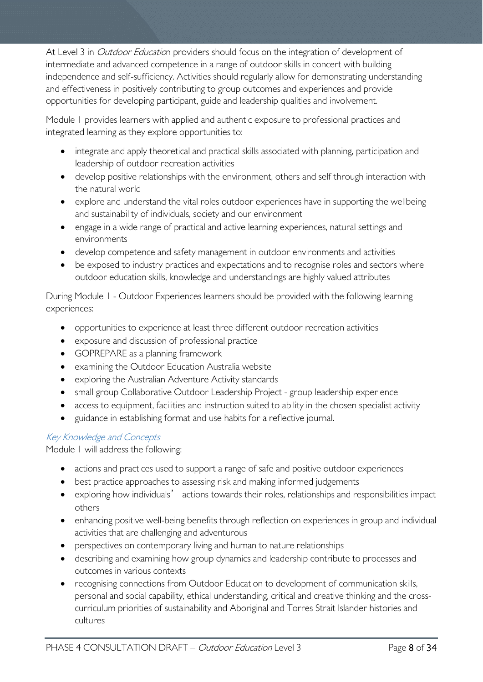At Level 3 in *Outdoor Educatio*n providers should focus on the integration of development of intermediate and advanced competence in a range of outdoor skills in concert with building independence and self-sufficiency. Activities should regularly allow for demonstrating understanding and effectiveness in positively contributing to group outcomes and experiences and provide opportunities for developing participant, guide and leadership qualities and involvement.

Module 1 provides learners with applied and authentic exposure to professional practices and integrated learning as they explore opportunities to:

- integrate and apply theoretical and practical skills associated with planning, participation and leadership of outdoor recreation activities
- develop positive relationships with the environment, others and self through interaction with the natural world
- explore and understand the vital roles outdoor experiences have in supporting the wellbeing and sustainability of individuals, society and our environment
- engage in a wide range of practical and active learning experiences, natural settings and environments
- develop competence and safety management in outdoor environments and activities
- be exposed to industry practices and expectations and to recognise roles and sectors where outdoor education skills, knowledge and understandings are highly valued attributes

During Module 1 - Outdoor Experiences learners should be provided with the following learning experiences:

- opportunities to experience at least three different outdoor recreation activities
- exposure and discussion of professional practice
- GOPREPARE as a planning framework
- examining the Outdoor Education Australia website
- exploring the Australian Adventure Activity standards
- small group Collaborative Outdoor Leadership Project group leadership experience
- access to equipment, facilities and instruction suited to ability in the chosen specialist activity
- guidance in establishing format and use habits for a reflective journal.

### Key Knowledge and Concepts

Module 1 will address the following:

- actions and practices used to support a range of safe and positive outdoor experiences
- best practice approaches to assessing risk and making informed judgements
- exploring how individuals' actions towards their roles, relationships and responsibilities impact others
- enhancing positive well-being benefits through reflection on experiences in group and individual activities that are challenging and adventurous
- perspectives on contemporary living and human to nature relationships
- describing and examining how group dynamics and leadership contribute to processes and outcomes in various contexts
- recognising connections from Outdoor Education to development of communication skills, personal and social capability, ethical understanding, critical and creative thinking and the crosscurriculum priorities of sustainability and Aboriginal and Torres Strait Islander histories and cultures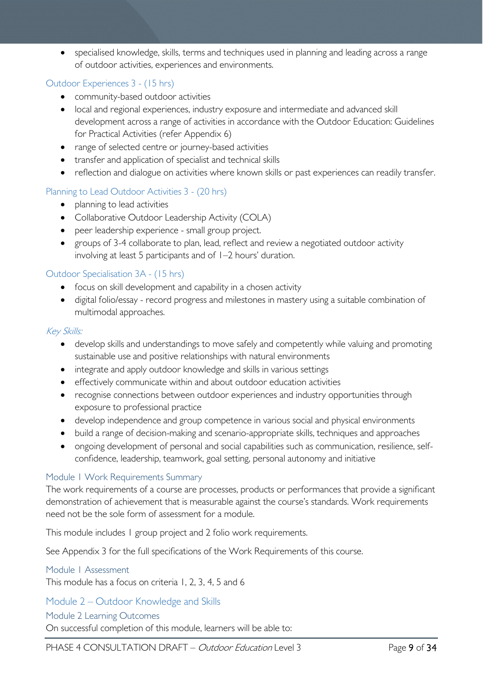• specialised knowledge, skills, terms and techniques used in planning and leading across a range of outdoor activities, experiences and environments.

#### Outdoor Experiences 3 - (15 hrs)

- community-based outdoor activities
- local and regional experiences, industry exposure and intermediate and advanced skill development across a range of activities in accordance with the Outdoor Education: Guidelines for Practical Activities (refer Appendix 6)
- range of selected centre or journey-based activities
- transfer and application of specialist and technical skills
- reflection and dialogue on activities where known skills or past experiences can readily transfer.

#### Planning to Lead Outdoor Activities 3 - (20 hrs)

- planning to lead activities
- Collaborative Outdoor Leadership Activity (COLA)
- peer leadership experience small group project.
- groups of 3-4 collaborate to plan, lead, reflect and review a negotiated outdoor activity involving at least 5 participants and of 1–2 hours' duration.

#### Outdoor Specialisation 3A - (15 hrs)

- focus on skill development and capability in a chosen activity
- digital folio/essay record progress and milestones in mastery using a suitable combination of multimodal approaches.

#### Key Skills:

- develop skills and understandings to move safely and competently while valuing and promoting sustainable use and positive relationships with natural environments
- integrate and apply outdoor knowledge and skills in various settings
- effectively communicate within and about outdoor education activities
- recognise connections between outdoor experiences and industry opportunities through exposure to professional practice
- develop independence and group competence in various social and physical environments
- build a range of decision-making and scenario-appropriate skills, techniques and approaches
- ongoing development of personal and social capabilities such as communication, resilience, selfconfidence, leadership, teamwork, goal setting, personal autonomy and initiative

#### <span id="page-8-0"></span>Module 1 Work Requirements Summary

The work requirements of a course are processes, products or performances that provide a significant demonstration of achievement that is measurable against the course's standards. Work requirements need not be the sole form of assessment for a module.

This module includes 1 group project and 2 folio work requirements.

See Appendix 3 for the full specifications of the Work Requirements of this course.

<span id="page-8-1"></span>Module 1 Assessment This module has a focus on criteria 1, 2, 3, 4, 5 and 6

<span id="page-8-2"></span>Module 2 – Outdoor Knowledge and Skills

#### <span id="page-8-3"></span>Module 2 Learning Outcomes

On successful completion of this module, learners will be able to: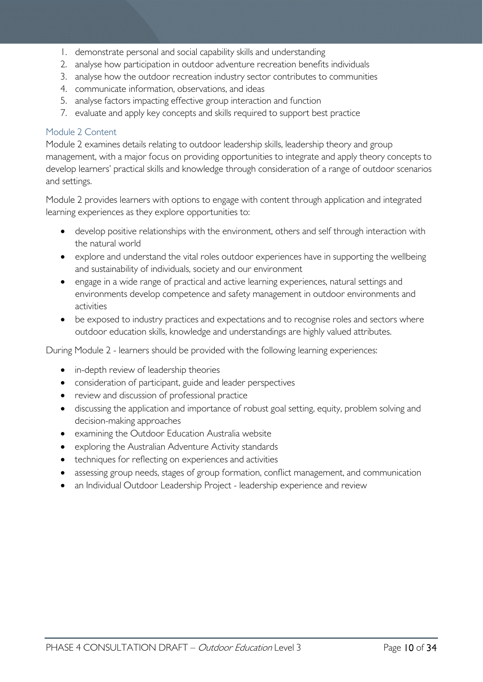- 1. demonstrate personal and social capability skills and understanding
- 2. analyse how participation in outdoor adventure recreation benefits individuals
- 3. analyse how the outdoor recreation industry sector contributes to communities
- 4. communicate information, observations, and ideas
- 5. analyse factors impacting effective group interaction and function
- 7. evaluate and apply key concepts and skills required to support best practice

#### <span id="page-9-0"></span>Module 2 Content

Module 2 examines details relating to outdoor leadership skills, leadership theory and group management, with a major focus on providing opportunities to integrate and apply theory concepts to develop learners' practical skills and knowledge through consideration of a range of outdoor scenarios and settings.

Module 2 provides learners with options to engage with content through application and integrated learning experiences as they explore opportunities to:

- develop positive relationships with the environment, others and self through interaction with the natural world
- explore and understand the vital roles outdoor experiences have in supporting the wellbeing and sustainability of individuals, society and our environment
- engage in a wide range of practical and active learning experiences, natural settings and environments develop competence and safety management in outdoor environments and activities
- be exposed to industry practices and expectations and to recognise roles and sectors where outdoor education skills, knowledge and understandings are highly valued attributes.

During Module 2 - learners should be provided with the following learning experiences:

- in-depth review of leadership theories
- consideration of participant, guide and leader perspectives
- review and discussion of professional practice
- discussing the application and importance of robust goal setting, equity, problem solving and decision-making approaches
- examining the Outdoor Education Australia website
- exploring the Australian Adventure Activity standards
- techniques for reflecting on experiences and activities
- assessing group needs, stages of group formation, conflict management, and communication
- an Individual Outdoor Leadership Project leadership experience and review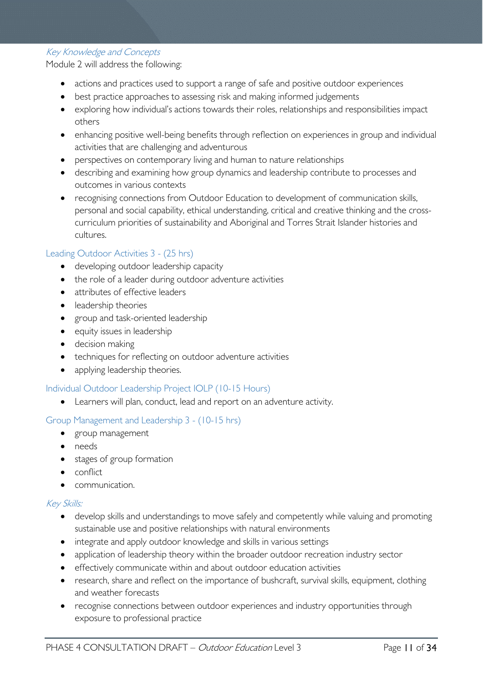Key Knowledge and Concepts

Module 2 will address the following:

- actions and practices used to support a range of safe and positive outdoor experiences
- best practice approaches to assessing risk and making informed judgements
- exploring how individual's actions towards their roles, relationships and responsibilities impact others
- enhancing positive well-being benefits through reflection on experiences in group and individual activities that are challenging and adventurous
- perspectives on contemporary living and human to nature relationships
- describing and examining how group dynamics and leadership contribute to processes and outcomes in various contexts
- recognising connections from Outdoor Education to development of communication skills, personal and social capability, ethical understanding, critical and creative thinking and the crosscurriculum priorities of sustainability and Aboriginal and Torres Strait Islander histories and cultures.

#### Leading Outdoor Activities 3 - (25 hrs)

- developing outdoor leadership capacity
- the role of a leader during outdoor adventure activities
- attributes of effective leaders
- leadership theories
- group and task-oriented leadership
- equity issues in leadership
- decision making
- techniques for reflecting on outdoor adventure activities
- applying leadership theories.

#### Individual Outdoor Leadership Project IOLP (10-15 Hours)

• Learners will plan, conduct, lead and report on an adventure activity.

#### Group Management and Leadership 3 - (10-15 hrs)

- group management
- needs
- stages of group formation
- conflict
- communication.

#### Key Skills:

- develop skills and understandings to move safely and competently while valuing and promoting sustainable use and positive relationships with natural environments
- integrate and apply outdoor knowledge and skills in various settings
- application of leadership theory within the broader outdoor recreation industry sector
- effectively communicate within and about outdoor education activities
- research, share and reflect on the importance of bushcraft, survival skills, equipment, clothing and weather forecasts
- recognise connections between outdoor experiences and industry opportunities through exposure to professional practice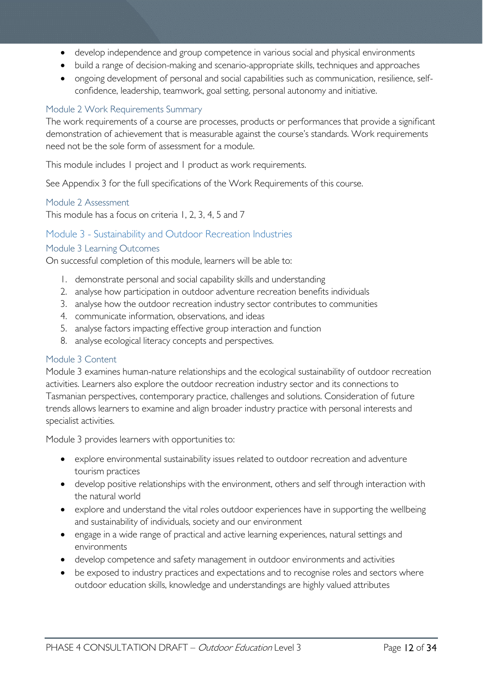- develop independence and group competence in various social and physical environments
- build a range of decision-making and scenario-appropriate skills, techniques and approaches
- ongoing development of personal and social capabilities such as communication, resilience, selfconfidence, leadership, teamwork, goal setting, personal autonomy and initiative.

#### <span id="page-11-0"></span>Module 2 Work Requirements Summary

The work requirements of a course are processes, products or performances that provide a significant demonstration of achievement that is measurable against the course's standards. Work requirements need not be the sole form of assessment for a module.

This module includes 1 project and 1 product as work requirements.

See Appendix 3 for the full specifications of the Work Requirements of this course.

#### <span id="page-11-1"></span>Module 2 Assessment

This module has a focus on criteria 1, 2, 3, 4, 5 and 7

#### <span id="page-11-2"></span>Module 3 - Sustainability and Outdoor Recreation Industries

#### <span id="page-11-3"></span>Module 3 Learning Outcomes

On successful completion of this module, learners will be able to:

- 1. demonstrate personal and social capability skills and understanding
- 2. analyse how participation in outdoor adventure recreation benefits individuals
- 3. analyse how the outdoor recreation industry sector contributes to communities
- 4. communicate information, observations, and ideas
- 5. analyse factors impacting effective group interaction and function
- 8. analyse ecological literacy concepts and perspectives.

#### <span id="page-11-4"></span>Module 3 Content

Module 3 examines human-nature relationships and the ecological sustainability of outdoor recreation activities. Learners also explore the outdoor recreation industry sector and its connections to Tasmanian perspectives, contemporary practice, challenges and solutions. Consideration of future trends allows learners to examine and align broader industry practice with personal interests and specialist activities.

Module 3 provides learners with opportunities to:

- explore environmental sustainability issues related to outdoor recreation and adventure tourism practices
- develop positive relationships with the environment, others and self through interaction with the natural world
- explore and understand the vital roles outdoor experiences have in supporting the wellbeing and sustainability of individuals, society and our environment
- engage in a wide range of practical and active learning experiences, natural settings and environments
- develop competence and safety management in outdoor environments and activities
- be exposed to industry practices and expectations and to recognise roles and sectors where outdoor education skills, knowledge and understandings are highly valued attributes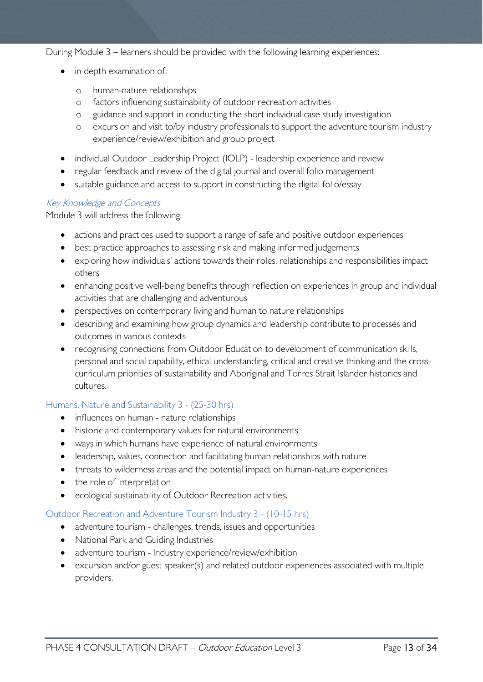During Module 3 – learners should be provided with the following learning experiences:

- in depth examination of:
	- o human-nature relationships
	- o factors influencing sustainability of outdoor recreation activities
	- o guidance and support in conducting the short individual case study investigation
	- o excursion and visit to/by industry professionals to support the adventure tourism industry experience/review/exhibition and group project
- individual Outdoor Leadership Project (IOLP) leadership experience and review
- regular feedback and review of the digital journal and overall folio management
- suitable guidance and access to support in constructing the digital folio/essay

#### Key Knowledge and Concepts

Module 3 will address the following:

- actions and practices used to support a range of safe and positive outdoor experiences
- best practice approaches to assessing risk and making informed judgements
- exploring how individuals' actions towards their roles, relationships and responsibilities impact others
- enhancing positive well-being benefits through reflection on experiences in group and individual activities that are challenging and adventurous
- perspectives on contemporary living and human to nature relationships
- describing and examining how group dynamics and leadership contribute to processes and outcomes in various contexts
- recognising connections from Outdoor Education to development of communication skills, personal and social capability, ethical understanding, critical and creative thinking and the crosscurriculum priorities of sustainability and Aboriginal and Torres Strait Islander histories and cultures.

#### Humans, Nature and Sustainability 3 - (25-30 hrs)

- influences on human nature relationships
- historic and contemporary values for natural environments
- ways in which humans have experience of natural environments
- leadership, values, connection and facilitating human relationships with nature
- threats to wilderness areas and the potential impact on human-nature experiences
- the role of interpretation
- ecological sustainability of Outdoor Recreation activities.

#### Outdoor Recreation and Adventure Tourism Industry 3 - (10-15 hrs)

- adventure tourism challenges, trends, issues and opportunities
- National Park and Guiding Industries
- adventure tourism Industry experience/review/exhibition
- excursion and/or guest speaker(s) and related outdoor experiences associated with multiple providers.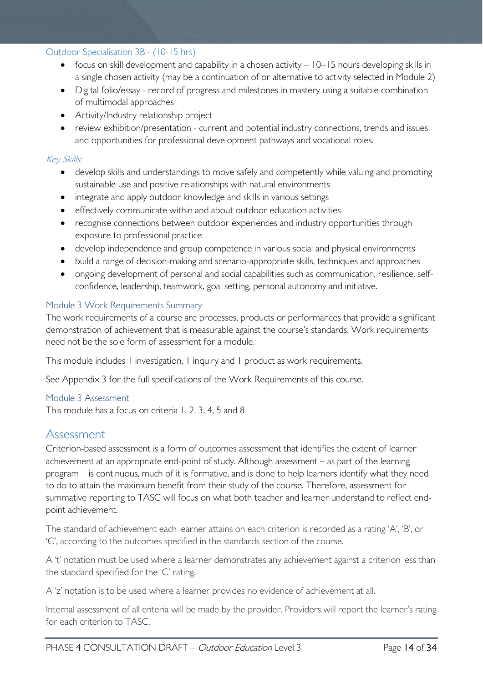#### Outdoor Specialisation 3B - (10-15 hrs)

- focus on skill development and capability in a chosen activity 10–15 hours developing skills in a single chosen activity (may be a continuation of or alternative to activity selected in Module 2)
- Digital folio/essay record of progress and milestones in mastery using a suitable combination of multimodal approaches
- Activity/Industry relationship project
- review exhibition/presentation current and potential industry connections, trends and issues and opportunities for professional development pathways and vocational roles.

#### Key Skills:

- develop skills and understandings to move safely and competently while valuing and promoting sustainable use and positive relationships with natural environments
- integrate and apply outdoor knowledge and skills in various settings
- effectively communicate within and about outdoor education activities
- recognise connections between outdoor experiences and industry opportunities through exposure to professional practice
- develop independence and group competence in various social and physical environments
- build a range of decision-making and scenario-appropriate skills, techniques and approaches
- ongoing development of personal and social capabilities such as communication, resilience, selfconfidence, leadership, teamwork, goal setting, personal autonomy and initiative.

#### <span id="page-13-0"></span>Module 3 Work Requirements Summary

The work requirements of a course are processes, products or performances that provide a significant demonstration of achievement that is measurable against the course's standards. Work requirements need not be the sole form of assessment for a module.

This module includes 1 investigation, 1 inquiry and 1 product as work requirements.

See Appendix 3 for the full specifications of the Work Requirements of this course.

#### <span id="page-13-1"></span>Module 3 Assessment

This module has a focus on criteria 1, 2, 3, 4, 5 and 8

### <span id="page-13-2"></span>Assessment

Criterion-based assessment is a form of outcomes assessment that identifies the extent of learner achievement at an appropriate end-point of study. Although assessment – as part of the learning program – is continuous, much of it is formative, and is done to help learners identify what they need to do to attain the maximum benefit from their study of the course. Therefore, assessment for summative reporting to TASC will focus on what both teacher and learner understand to reflect endpoint achievement.

The standard of achievement each learner attains on each criterion is recorded as a rating 'A', 'B', or 'C', according to the outcomes specified in the standards section of the course.

A 't' notation must be used where a learner demonstrates any achievement against a criterion less than the standard specified for the 'C' rating.

A 'z' notation is to be used where a learner provides no evidence of achievement at all.

Internal assessment of all criteria will be made by the provider. Providers will report the learner's rating for each criterion to TASC.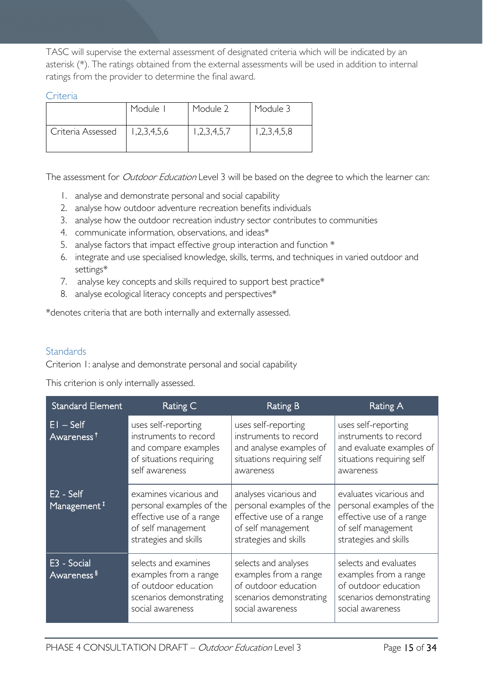TASC will supervise the external assessment of designated criteria which will be indicated by an asterisk (\*). The ratings obtained from the external assessments will be used in addition to internal ratings from the provider to determine the final award.

#### <span id="page-14-0"></span>Criteria

|                   | Module I    | Module 2    | Module 3    |
|-------------------|-------------|-------------|-------------|
| Criteria Assessed | 1,2,3,4,5,6 | 1,2,3,4,5,7 | 1,2,3,4,5,8 |

The assessment for *Outdoor Education* Level 3 will be based on the degree to which the learner can:

- 1. analyse and demonstrate personal and social capability
- 2. analyse how outdoor adventure recreation benefits individuals
- 3. analyse how the outdoor recreation industry sector contributes to communities
- 4. communicate information, observations, and ideas\*
- 5. analyse factors that impact effective group interaction and function \*
- 6. integrate and use specialised knowledge, skills, terms, and techniques in varied outdoor and settings\*
- 7. analyse key concepts and skills required to support best practice\*
- 8. analyse ecological literacy concepts and perspectives\*

\*denotes criteria that are both internally and externally assessed.

#### <span id="page-14-1"></span>**Standards**

Criterion 1: analyse and demonstrate personal and social capability

This criterion is only internally assessed.

| <b>Standard Element</b>                | Rating C                                                                                                                      | <b>Rating B</b>                                                                                                               | Rating A                                                                                                                       |
|----------------------------------------|-------------------------------------------------------------------------------------------------------------------------------|-------------------------------------------------------------------------------------------------------------------------------|--------------------------------------------------------------------------------------------------------------------------------|
| $EI - Self$<br>Awareness <sup>†</sup>  | uses self-reporting<br>instruments to record<br>and compare examples<br>of situations requiring<br>self awareness             | uses self-reporting<br>instruments to record<br>and analyse examples of<br>situations requiring self<br>awareness             | uses self-reporting<br>instruments to record<br>and evaluate examples of<br>situations requiring self<br>awareness             |
| $E2 - Self$<br>Management <sup>#</sup> | examines vicarious and<br>personal examples of the<br>effective use of a range<br>of self management<br>strategies and skills | analyses vicarious and<br>personal examples of the<br>effective use of a range<br>of self management<br>strategies and skills | evaluates vicarious and<br>personal examples of the<br>effective use of a range<br>of self management<br>strategies and skills |
| E3 - Social<br>Awareness <sup>§</sup>  | selects and examines<br>examples from a range<br>of outdoor education<br>scenarios demonstrating<br>social awareness          | selects and analyses<br>examples from a range<br>of outdoor education<br>scenarios demonstrating<br>social awareness          | selects and evaluates<br>examples from a range<br>of outdoor education<br>scenarios demonstrating<br>social awareness          |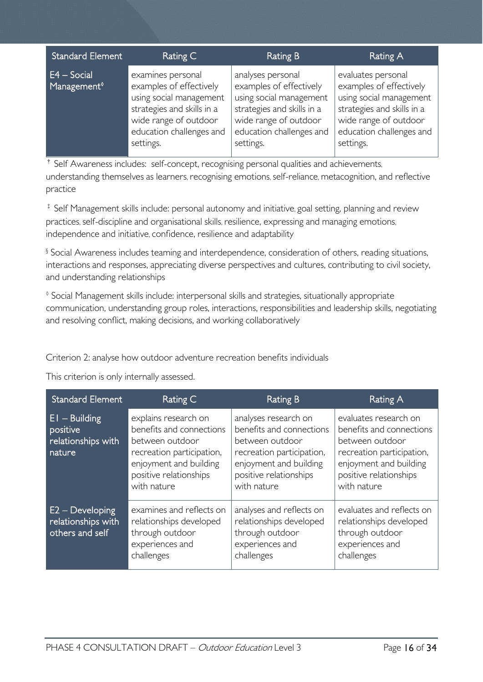| <b>Standard Element</b>                  | Rating C                                                                                                                                                                | <b>Rating B</b>                                                                                                                                                         | Rating A                                                                                                                                                                 |
|------------------------------------------|-------------------------------------------------------------------------------------------------------------------------------------------------------------------------|-------------------------------------------------------------------------------------------------------------------------------------------------------------------------|--------------------------------------------------------------------------------------------------------------------------------------------------------------------------|
| $E4 - Social$<br>Management <sup>®</sup> | examines personal<br>examples of effectively<br>using social management<br>strategies and skills in a<br>wide range of outdoor<br>education challenges and<br>settings. | analyses personal<br>examples of effectively<br>using social management<br>strategies and skills in a<br>wide range of outdoor<br>education challenges and<br>settings. | evaluates personal<br>examples of effectively<br>using social management<br>strategies and skills in a<br>wide range of outdoor<br>education challenges and<br>settings. |

† Self Awareness includes: self-concept, recognising personal qualities and achievements, understanding themselves as learners, recognising emotions, self-reliance, metacognition, and reflective practice

<sup>‡</sup> Self Management skills include: personal autonomy and initiative, goal setting, planning and review practices, self-discipline and organisational skills, resilience, expressing and managing emotions, independence and initiative, confidence, resilience and adaptability

§ Social Awareness includes teaming and interdependence, consideration of others, reading situations, interactions and responses, appreciating diverse perspectives and cultures, contributing to civil society, and understanding relationships

◊ Social Management skills include: interpersonal skills and strategies, situationally appropriate communication, understanding group roles, interactions, responsibilities and leadership skills, negotiating and resolving conflict, making decisions, and working collaboratively

Criterion 2: analyse how outdoor adventure recreation benefits individuals

This criterion is only internally assessed.

| <b>Standard Element</b>                                     | Rating C                                                                                                                                                            | <b>Rating B</b>                                                                                                                                                     | Rating A                                                                                                                                                             |
|-------------------------------------------------------------|---------------------------------------------------------------------------------------------------------------------------------------------------------------------|---------------------------------------------------------------------------------------------------------------------------------------------------------------------|----------------------------------------------------------------------------------------------------------------------------------------------------------------------|
| El - Building<br>positive<br>relationships with<br>nature   | explains research on<br>benefits and connections<br>between outdoor<br>recreation participation,<br>enjoyment and building<br>positive relationships<br>with nature | analyses research on<br>benefits and connections<br>between outdoor<br>recreation participation,<br>enjoyment and building<br>positive relationships<br>with nature | evaluates research on<br>benefits and connections<br>between outdoor<br>recreation participation,<br>enjoyment and building<br>positive relationships<br>with nature |
| $E2 - Development$<br>relationships with<br>others and self | examines and reflects on<br>relationships developed<br>through outdoor<br>experiences and<br>challenges                                                             | analyses and reflects on<br>relationships developed<br>through outdoor<br>experiences and<br>challenges                                                             | evaluates and reflects on<br>relationships developed<br>through outdoor<br>experiences and<br>challenges                                                             |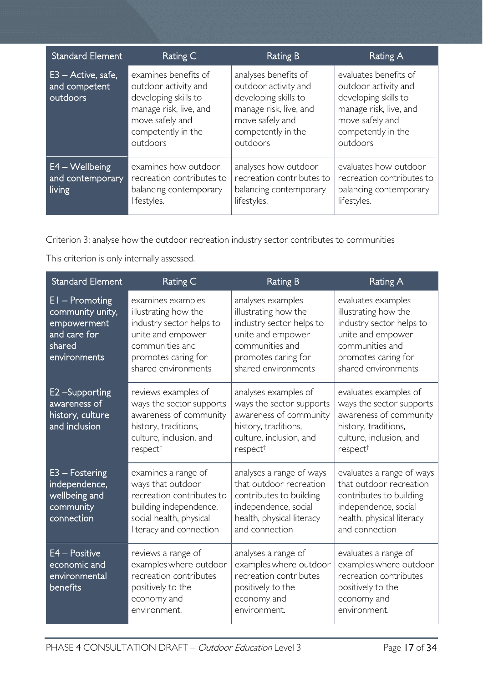| <b>Standard Element</b>                           | Rating C                                                                                                                                            | Rating B                                                                                                                                            | Rating A                                                                                                                                             |
|---------------------------------------------------|-----------------------------------------------------------------------------------------------------------------------------------------------------|-----------------------------------------------------------------------------------------------------------------------------------------------------|------------------------------------------------------------------------------------------------------------------------------------------------------|
| $E3 -$ Active, safe,<br>and competent<br>outdoors | examines benefits of<br>outdoor activity and<br>developing skills to<br>manage risk, live, and<br>move safely and<br>competently in the<br>outdoors | analyses benefits of<br>outdoor activity and<br>developing skills to<br>manage risk, live, and<br>move safely and<br>competently in the<br>outdoors | evaluates benefits of<br>outdoor activity and<br>developing skills to<br>manage risk, live, and<br>move safely and<br>competently in the<br>outdoors |
| $E4 - W$ ellbeing<br>and contemporary<br>living   | examines how outdoor<br>recreation contributes to<br>balancing contemporary<br>lifestyles.                                                          | analyses how outdoor<br>recreation contributes to<br>balancing contemporary<br>lifestyles.                                                          | evaluates how outdoor<br>recreation contributes to<br>balancing contemporary<br>lifestyles.                                                          |

Criterion 3: analyse how the outdoor recreation industry sector contributes to communities

This criterion is only internally assessed.

| <b>Standard Element</b>                                                                       | Rating C                                                                                                                                                    | <b>Rating B</b>                                                                                                                                             | Rating A                                                                                                                                                     |
|-----------------------------------------------------------------------------------------------|-------------------------------------------------------------------------------------------------------------------------------------------------------------|-------------------------------------------------------------------------------------------------------------------------------------------------------------|--------------------------------------------------------------------------------------------------------------------------------------------------------------|
| $EI - Promoting$<br>community unity,<br>empowerment<br>and care for<br>shared<br>environments | examines examples<br>illustrating how the<br>industry sector helps to<br>unite and empower<br>communities and<br>promotes caring for<br>shared environments | analyses examples<br>illustrating how the<br>industry sector helps to<br>unite and empower<br>communities and<br>promotes caring for<br>shared environments | evaluates examples<br>illustrating how the<br>industry sector helps to<br>unite and empower<br>communities and<br>promotes caring for<br>shared environments |
| E2 - Supporting<br>awareness of<br>history, culture<br>and inclusion                          | reviews examples of<br>ways the sector supports<br>awareness of community<br>history, traditions,<br>culture, inclusion, and<br>respect <sup>†</sup>        | analyses examples of<br>ways the sector supports<br>awareness of community<br>history, traditions,<br>culture, inclusion, and<br>respect <sup>†</sup>       | evaluates examples of<br>ways the sector supports<br>awareness of community<br>history, traditions,<br>culture, inclusion, and<br>respect <sup>†</sup>       |
| $E3 - Fostering$<br>independence,<br>wellbeing and<br>community<br>connection                 | examines a range of<br>ways that outdoor<br>recreation contributes to<br>building independence,<br>social health, physical<br>literacy and connection       | analyses a range of ways<br>that outdoor recreation<br>contributes to building<br>independence, social<br>health, physical literacy<br>and connection       | evaluates a range of ways<br>that outdoor recreation<br>contributes to building<br>independence, social<br>health, physical literacy<br>and connection       |
| E4 - Positive<br>economic and<br>environmental<br>benefits                                    | reviews a range of<br>examples where outdoor<br>recreation contributes<br>positively to the<br>economy and<br>environment.                                  | analyses a range of<br>examples where outdoor<br>recreation contributes<br>positively to the<br>economy and<br>environment.                                 | evaluates a range of<br>examples where outdoor<br>recreation contributes<br>positively to the<br>economy and<br>environment.                                 |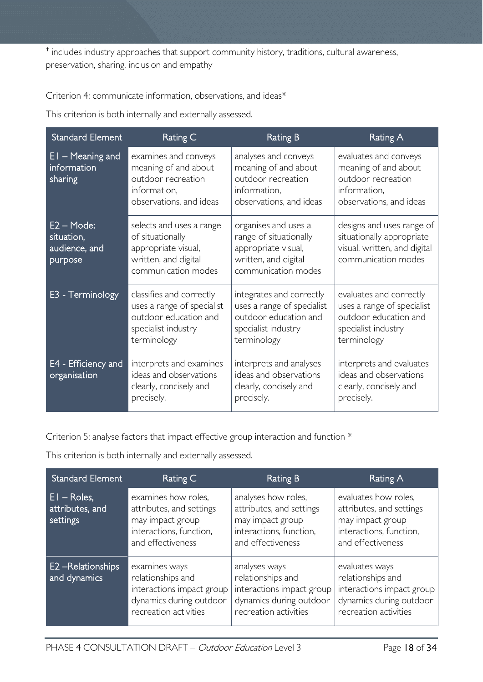† includes industry approaches that support community history, traditions, cultural awareness, preservation, sharing, inclusion and empathy

Criterion 4: communicate information, observations, and ideas\*

This criterion is both internally and externally assessed.

| <b>Standard Element</b>                                | Rating C                                                                                                              | <b>Rating B</b>                                                                                                       | <b>Rating A</b>                                                                                                      |
|--------------------------------------------------------|-----------------------------------------------------------------------------------------------------------------------|-----------------------------------------------------------------------------------------------------------------------|----------------------------------------------------------------------------------------------------------------------|
| $EI$ – Meaning and<br>information<br>sharing           | examines and conveys<br>meaning of and about<br>outdoor recreation<br>information,<br>observations, and ideas         | analyses and conveys<br>meaning of and about<br>outdoor recreation<br>information,<br>observations, and ideas         | evaluates and conveys<br>meaning of and about<br>outdoor recreation<br>information,<br>observations, and ideas       |
| $E2 - Mode:$<br>situation,<br>audience, and<br>purpose | selects and uses a range<br>of situationally<br>appropriate visual,<br>written, and digital<br>communication modes    | organises and uses a<br>range of situationally<br>appropriate visual,<br>written, and digital<br>communication modes  | designs and uses range of<br>situationally appropriate<br>visual, written, and digital<br>communication modes        |
| E3 - Terminology                                       | classifies and correctly<br>uses a range of specialist<br>outdoor education and<br>specialist industry<br>terminology | integrates and correctly<br>uses a range of specialist<br>outdoor education and<br>specialist industry<br>terminology | evaluates and correctly<br>uses a range of specialist<br>outdoor education and<br>specialist industry<br>terminology |
| E4 - Efficiency and<br>organisation                    | interprets and examines<br>ideas and observations<br>clearly, concisely and<br>precisely.                             | interprets and analyses<br>ideas and observations<br>clearly, concisely and<br>precisely.                             | interprets and evaluates<br>ideas and observations<br>clearly, concisely and<br>precisely.                           |

Criterion 5: analyse factors that impact effective group interaction and function \*

This criterion is both internally and externally assessed.

| <b>Standard Element</b>                            | Rating C                                                                                                            | <b>Rating B</b>                                                                                                     | Rating A                                                                                                             |
|----------------------------------------------------|---------------------------------------------------------------------------------------------------------------------|---------------------------------------------------------------------------------------------------------------------|----------------------------------------------------------------------------------------------------------------------|
| $E1 - \text{Roles}$<br>attributes, and<br>settings | examines how roles,<br>attributes, and settings<br>may impact group<br>interactions, function,<br>and effectiveness | analyses how roles,<br>attributes, and settings<br>may impact group<br>interactions, function,<br>and effectiveness | evaluates how roles,<br>attributes, and settings<br>may impact group<br>interactions, function,<br>and effectiveness |
| <b>E2</b> -Relationships<br>and dynamics           | examines ways<br>relationships and<br>interactions impact group<br>dynamics during outdoor<br>recreation activities | analyses ways<br>relationships and<br>interactions impact group<br>dynamics during outdoor<br>recreation activities | evaluates ways<br>relationships and<br>interactions impact group<br>dynamics during outdoor<br>recreation activities |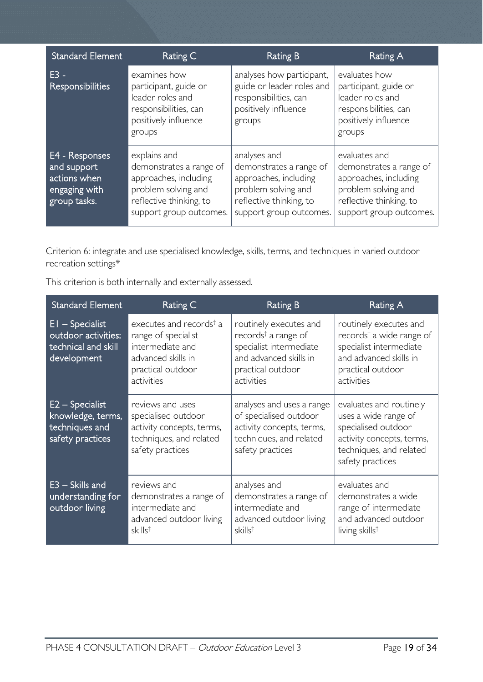| <b>Standard Element</b>                                                        | Rating C                                                                                                                                      | Rating B                                                                                                                                      | Rating A                                                                                                                                       |
|--------------------------------------------------------------------------------|-----------------------------------------------------------------------------------------------------------------------------------------------|-----------------------------------------------------------------------------------------------------------------------------------------------|------------------------------------------------------------------------------------------------------------------------------------------------|
| F3 -<br><b>Responsibilities</b>                                                | examines how<br>participant, guide or<br>leader roles and<br>responsibilities, can<br>positively influence<br>groups                          | analyses how participant,<br>guide or leader roles and<br>responsibilities, can<br>positively influence<br>groups                             | evaluates how<br>participant, guide or<br>leader roles and<br>responsibilities, can<br>positively influence<br>groups                          |
| E4 - Responses<br>and support<br>actions when<br>engaging with<br>group tasks. | explains and<br>demonstrates a range of<br>approaches, including<br>problem solving and<br>reflective thinking, to<br>support group outcomes. | analyses and<br>demonstrates a range of<br>approaches, including<br>problem solving and<br>reflective thinking, to<br>support group outcomes. | evaluates and<br>demonstrates a range of<br>approaches, including<br>problem solving and<br>reflective thinking, to<br>support group outcomes. |

Criterion 6: integrate and use specialised knowledge, skills, terms, and techniques in varied outdoor recreation settings\*

This criterion is both internally and externally assessed.

| <b>Standard Element</b>                                                        | Rating C                                                                                                                                | <b>Rating B</b>                                                                                                                                   | <b>Rating A</b>                                                                                                                                        |
|--------------------------------------------------------------------------------|-----------------------------------------------------------------------------------------------------------------------------------------|---------------------------------------------------------------------------------------------------------------------------------------------------|--------------------------------------------------------------------------------------------------------------------------------------------------------|
| $EI - Specialist$<br>outdoor activities:<br>technical and skill<br>development | executes and records <sup>†</sup> a<br>range of specialist<br>intermediate and<br>advanced skills in<br>practical outdoor<br>activities | routinely executes and<br>records <sup>†</sup> a range of<br>specialist intermediate<br>and advanced skills in<br>practical outdoor<br>activities | routinely executes and<br>records <sup>†</sup> a wide range of<br>specialist intermediate<br>and advanced skills in<br>practical outdoor<br>activities |
| $E2 - Specialist$<br>knowledge, terms,<br>techniques and<br>safety practices   | reviews and uses<br>specialised outdoor<br>activity concepts, terms,<br>techniques, and related<br>safety practices                     | analyses and uses a range<br>of specialised outdoor<br>activity concepts, terms,<br>techniques, and related<br>safety practices                   | evaluates and routinely<br>uses a wide range of<br>specialised outdoor<br>activity concepts, terms,<br>techniques, and related<br>safety practices     |
| $E3 - Skills$ and<br>understanding for<br>outdoor living                       | reviews and<br>demonstrates a range of<br>intermediate and<br>advanced outdoor living<br>$skills^{\ddagger}$                            | analyses and<br>demonstrates a range of<br>intermediate and<br>advanced outdoor living<br>$skills^{\ddagger}$                                     | evaluates and<br>demonstrates a wide<br>range of intermediate<br>and advanced outdoor<br>living skills <sup>‡</sup>                                    |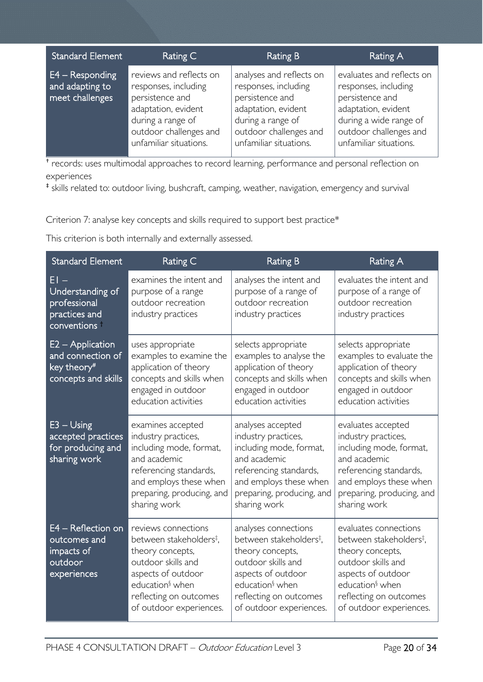| <b>Standard Element</b>                                 | Rating C                                                                                                                                                           | Rating B                                                                                                                                                            | Rating A                                                                                                                                                                  |
|---------------------------------------------------------|--------------------------------------------------------------------------------------------------------------------------------------------------------------------|---------------------------------------------------------------------------------------------------------------------------------------------------------------------|---------------------------------------------------------------------------------------------------------------------------------------------------------------------------|
| $E4 - Responding$<br>and adapting to<br>meet challenges | reviews and reflects on<br>responses, including<br>persistence and<br>adaptation, evident<br>during a range of<br>outdoor challenges and<br>unfamiliar situations. | analyses and reflects on<br>responses, including<br>persistence and<br>adaptation, evident<br>during a range of<br>outdoor challenges and<br>unfamiliar situations. | evaluates and reflects on<br>responses, including<br>persistence and<br>adaptation, evident<br>during a wide range of<br>outdoor challenges and<br>unfamiliar situations. |

† records: uses multimodal approaches to record learning, performance and personal reflection on experiences

‡ skills related to: outdoor living, bushcraft, camping, weather, navigation, emergency and survival

Criterion 7: analyse key concepts and skills required to support best practice\*

This criterion is both internally and externally assessed.

| <b>Standard Element</b>                                                                 | Rating C                                                                                                                                                                                                       | <b>Rating B</b>                                                                                                                                                                                                 | Rating A                                                                                                                                                                                                         |
|-----------------------------------------------------------------------------------------|----------------------------------------------------------------------------------------------------------------------------------------------------------------------------------------------------------------|-----------------------------------------------------------------------------------------------------------------------------------------------------------------------------------------------------------------|------------------------------------------------------------------------------------------------------------------------------------------------------------------------------------------------------------------|
| $EI -$<br>Understanding of<br>professional<br>practices and<br>conventions <sup>+</sup> | examines the intent and<br>purpose of a range<br>outdoor recreation<br>industry practices                                                                                                                      | analyses the intent and<br>purpose of a range of<br>outdoor recreation<br>industry practices                                                                                                                    | evaluates the intent and<br>purpose of a range of<br>outdoor recreation<br>industry practices                                                                                                                    |
| $E2 - Application$<br>and connection of<br>key theory#<br>concepts and skills           | uses appropriate<br>examples to examine the<br>application of theory<br>concepts and skills when<br>engaged in outdoor<br>education activities                                                                 | selects appropriate<br>examples to analyse the<br>application of theory<br>concepts and skills when<br>engaged in outdoor<br>education activities                                                               | selects appropriate<br>examples to evaluate the<br>application of theory<br>concepts and skills when<br>engaged in outdoor<br>education activities                                                               |
| $E3 - Using$<br>accepted practices<br>for producing and<br>sharing work                 | examines accepted<br>industry practices,<br>including mode, format,<br>and academic<br>referencing standards,<br>and employs these when<br>preparing, producing, and<br>sharing work                           | analyses accepted<br>industry practices,<br>including mode, format,<br>and academic<br>referencing standards,<br>and employs these when<br>preparing, producing, and<br>sharing work                            | evaluates accepted<br>industry practices,<br>including mode, format,<br>and academic<br>referencing standards,<br>and employs these when<br>preparing, producing, and<br>sharing work                            |
| E4 - Reflection on<br>outcomes and<br>impacts of<br>outdoor<br>experiences              | reviews connections<br>between stakeholders <sup>‡</sup> ,<br>theory concepts,<br>outdoor skills and<br>aspects of outdoor<br>education <sup>§</sup> when<br>reflecting on outcomes<br>of outdoor experiences. | analyses connections<br>between stakeholders <sup>‡</sup> ,<br>theory concepts,<br>outdoor skills and<br>aspects of outdoor<br>education <sup>§</sup> when<br>reflecting on outcomes<br>of outdoor experiences. | evaluates connections<br>between stakeholders <sup>‡</sup> ,<br>theory concepts,<br>outdoor skills and<br>aspects of outdoor<br>education <sup>§</sup> when<br>reflecting on outcomes<br>of outdoor experiences. |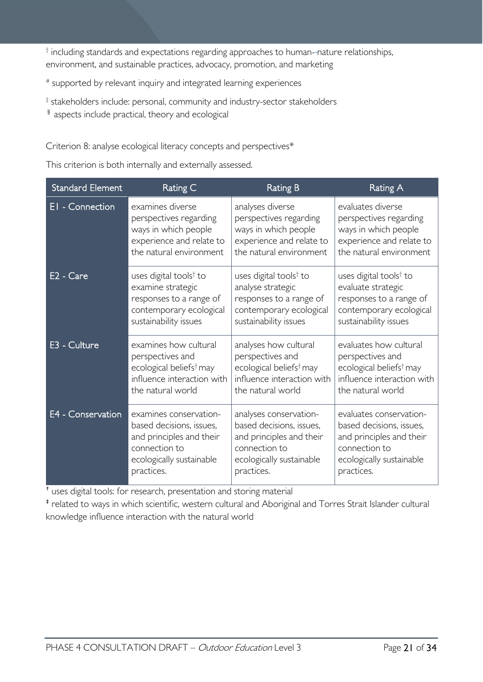† including standards and expectations regarding approaches to human- nature relationships, environment, and sustainable practices, advocacy, promotion, and marketing

# supported by relevant inquiry and integrated learning experiences

‡ stakeholders include: personal, community and industry-sector stakeholders

§ aspects include practical, theory and ecological

Criterion 8: analyse ecological literacy concepts and perspectives\*

This criterion is both internally and externally assessed.

| <b>Standard Element</b> | Rating C                            | <b>Rating B</b>                     | Rating A                            |
|-------------------------|-------------------------------------|-------------------------------------|-------------------------------------|
| El - Connection         | examines diverse                    | analyses diverse                    | evaluates diverse                   |
|                         | perspectives regarding              | perspectives regarding              | perspectives regarding              |
|                         | ways in which people                | ways in which people                | ways in which people                |
|                         | experience and relate to            | experience and relate to            | experience and relate to            |
|                         | the natural environment             | the natural environment             | the natural environment             |
| E <sub>2</sub> - Care   | uses digital tools <sup>†</sup> to  | uses digital tools <sup>†</sup> to  | uses digital tools <sup>†</sup> to  |
|                         | examine strategic                   | analyse strategic                   | evaluate strategic                  |
|                         | responses to a range of             | responses to a range of             | responses to a range of             |
|                         | contemporary ecological             | contemporary ecological             | contemporary ecological             |
|                         | sustainability issues               | sustainability issues               | sustainability issues               |
| E3 - Culture            | examines how cultural               | analyses how cultural               | evaluates how cultural              |
|                         | perspectives and                    | perspectives and                    | perspectives and                    |
|                         | ecological beliefs <sup>†</sup> may | ecological beliefs <sup>†</sup> may | ecological beliefs <sup>†</sup> may |
|                         | influence interaction with          | influence interaction with          | influence interaction with          |
|                         | the natural world                   | the natural world                   | the natural world                   |
| E4 - Conservation       | examines conservation-              | analyses conservation-              | evaluates conservation-             |
|                         | based decisions, issues,            | based decisions, issues,            | based decisions, issues,            |
|                         | and principles and their            | and principles and their            | and principles and their            |
|                         | connection to                       | connection to                       | connection to                       |
|                         | ecologically sustainable            | ecologically sustainable            | ecologically sustainable            |
|                         | practices.                          | practices.                          | practices.                          |

† uses digital tools: for research, presentation and storing material

‡ related to ways in which scientific, western cultural and Aboriginal and Torres Strait Islander cultural knowledge influence interaction with the natural world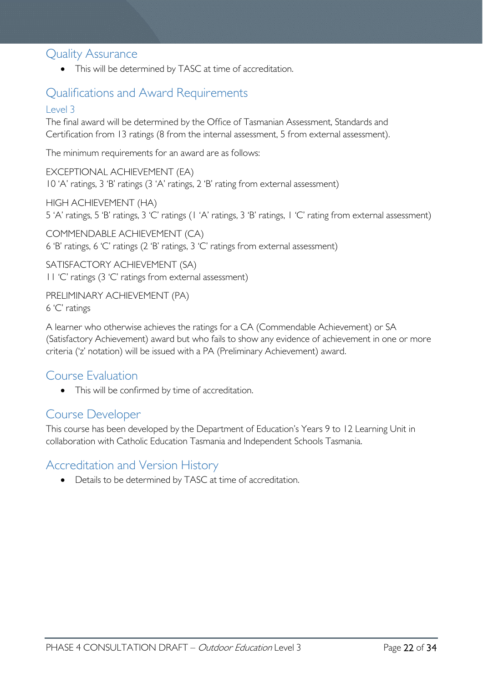### <span id="page-21-0"></span>Quality Assurance

• This will be determined by TASC at time of accreditation.

# <span id="page-21-1"></span>Qualifications and Award Requirements

#### <span id="page-21-2"></span>Level 3

The final award will be determined by the Office of Tasmanian Assessment, Standards and Certification from 13 ratings (8 from the internal assessment, 5 from external assessment).

The minimum requirements for an award are as follows:

EXCEPTIONAL ACHIEVEMENT (EA) 10 'A' ratings, 3 'B' ratings (3 'A' ratings, 2 'B' rating from external assessment)

HIGH ACHIEVEMENT (HA) 5 'A' ratings, 5 'B' ratings, 3 'C' ratings (1 'A' ratings, 3 'B' ratings, 1 'C' rating from external assessment)

COMMENDABLE ACHIEVEMENT (CA) 6 'B' ratings, 6 'C' ratings (2 'B' ratings, 3 'C' ratings from external assessment)

SATISFACTORY ACHIEVEMENT (SA) 11 'C' ratings (3 'C' ratings from external assessment)

PRELIMINARY ACHIEVEMENT (PA) 6 'C' ratings

A learner who otherwise achieves the ratings for a CA (Commendable Achievement) or SA (Satisfactory Achievement) award but who fails to show any evidence of achievement in one or more criteria ('z' notation) will be issued with a PA (Preliminary Achievement) award.

### <span id="page-21-3"></span>Course Evaluation

• This will be confirmed by time of accreditation.

### <span id="page-21-4"></span>Course Developer

This course has been developed by the Department of Education's Years 9 to 12 Learning Unit in collaboration with Catholic Education Tasmania and Independent Schools Tasmania.

## <span id="page-21-5"></span>Accreditation and Version History

• Details to be determined by TASC at time of accreditation.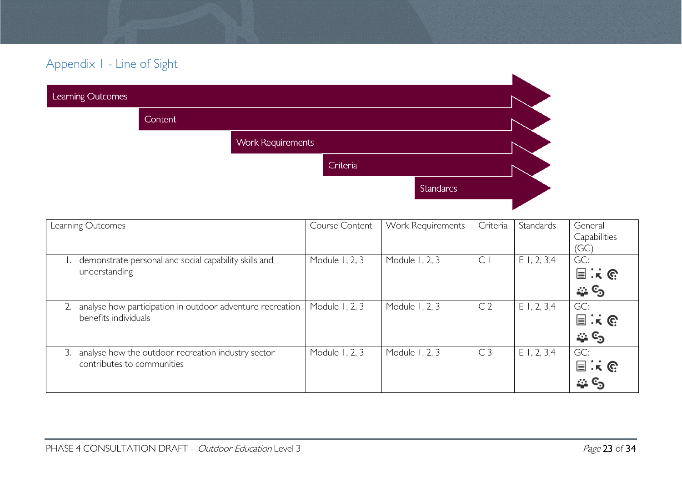# Appendix 1 - Line of Sight

| Learning Outcomes |                |                          |          |           |  |
|-------------------|----------------|--------------------------|----------|-----------|--|
|                   | <b>Content</b> |                          |          |           |  |
|                   |                | <b>Work Requirements</b> |          |           |  |
|                   |                |                          | Criteria |           |  |
|                   |                |                          |          | Standards |  |
|                   |                |                          |          |           |  |

<span id="page-22-0"></span>

| Learning Outcomes                                                                      | <b>Course Content</b> | Work Requirements | Criteria       | Standards  | General<br>Capabilities<br>(GC)               |
|----------------------------------------------------------------------------------------|-----------------------|-------------------|----------------|------------|-----------------------------------------------|
| demonstrate personal and social capability skills and<br>understanding                 | Module 1, 2, 3        | Module 1, 2, 3    | $\mathsf{C}$   | E1, 2, 3,4 | GC:<br>$\Xi$ : $\kappa$ $\mathbb{C}$<br>ు ల   |
| analyse how participation in outdoor adventure recreation<br>benefits individuals      | Module 1, 2, 3        | Module 1, 2, 3    | C <sub>2</sub> | E1, 2, 3,4 | GC:<br>$\Xi$ : $\kappa$ $\mathbb{C}$<br>్తు ల |
| analyse how the outdoor recreation industry sector<br>3.<br>contributes to communities | Module 1, 2, 3        | Module 1, 2, 3    | C <sub>3</sub> | E1, 2, 3,4 | GC:<br>$\Xi$ : $\kappa$ $\mathbb{C}$<br>ు ల   |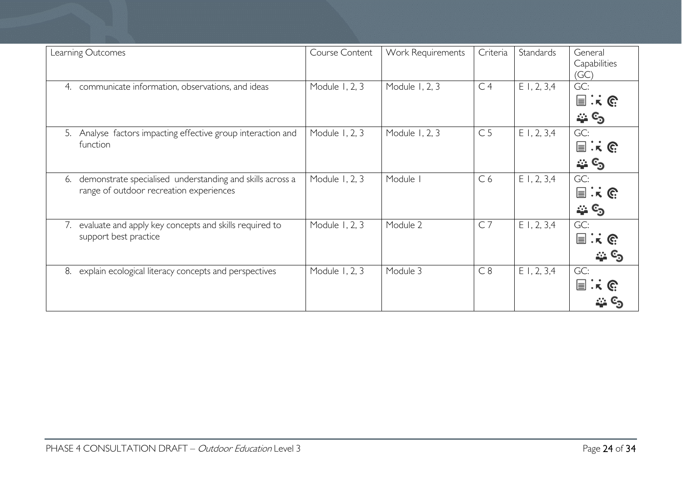| Learning Outcomes                                                                                          | Course Content | Work Requirements | Criteria       | Standards     | General<br>Capabilities<br>(GC)           |
|------------------------------------------------------------------------------------------------------------|----------------|-------------------|----------------|---------------|-------------------------------------------|
| communicate information, observations, and ideas<br>4.                                                     | Module 1, 2, 3 | Module 1, 2, 3    | C <sub>4</sub> | $E$ 1, 2, 3,4 | GC:<br>$\equiv$ $\mathbf{k}$ $\in$<br>ు ల |
| Analyse factors impacting effective group interaction and<br>5.<br>function                                | Module 1, 2, 3 | Module 1, 2, 3    | C <sub>5</sub> | $E$ 1, 2, 3,4 | GC:<br>$\Xi$ is G<br>్తు లృ               |
| demonstrate specialised understanding and skills across a<br>6.<br>range of outdoor recreation experiences | Module 1, 2, 3 | Module I          | C <sub>6</sub> | $E$ 1, 2, 3,4 | GC:<br>$\exists : \kappa \in$<br>్తు ల    |
| evaluate and apply key concepts and skills required to<br>7.<br>support best practice                      | Module 1, 2, 3 | Module 2          | C <sub>7</sub> | $E$ I, 2, 3,4 | GC:<br>$\exists : \kappa \in$<br>చి స     |
| explain ecological literacy concepts and perspectives<br>8.                                                | Module 1, 2, 3 | Module 3          | C8             | $E$ I, 2, 3,4 | GC:<br>$\Xi$ : $\kappa$ G                 |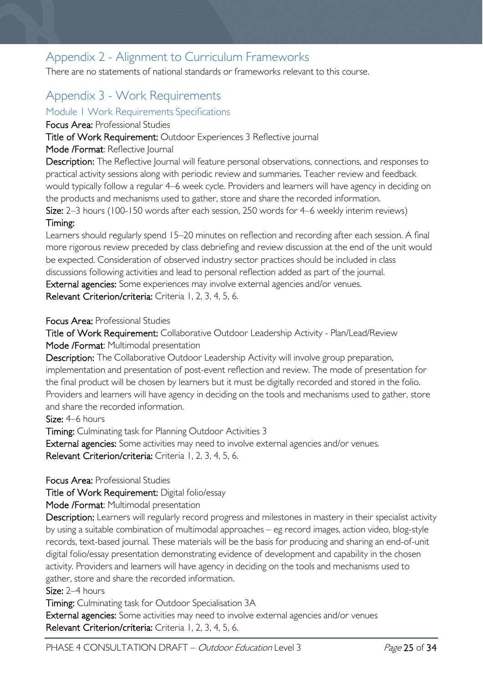# <span id="page-24-0"></span>Appendix 2 - Alignment to Curriculum Frameworks

There are no statements of national standards or frameworks relevant to this course.

# <span id="page-24-1"></span>Appendix 3 - Work Requirements

#### <span id="page-24-2"></span>Module 1 Work Requirements Specifications

Focus Area: Professional Studies

Title of Work Requirement: Outdoor Experiences 3 Reflective journal

#### Mode /Format: Reflective Journal

Description: The Reflective Journal will feature personal observations, connections, and responses to practical activity sessions along with periodic review and summaries. Teacher review and feedback would typically follow a regular 4–6 week cycle. Providers and learners will have agency in deciding on the products and mechanisms used to gather, store and share the recorded information.

Size: 2–3 hours (100-150 words after each session, 250 words for 4–6 weekly interim reviews) Timing:

Learners should regularly spend 15–20 minutes on reflection and recording after each session. A final more rigorous review preceded by class debriefing and review discussion at the end of the unit would be expected. Consideration of observed industry sector practices should be included in class discussions following activities and lead to personal reflection added as part of the journal. External agencies: Some experiences may involve external agencies and/or venues.

Relevant Criterion/criteria: Criteria 1, 2, 3, 4, 5, 6.

Focus Area: Professional Studies

Title of Work Requirement: Collaborative Outdoor Leadership Activity - Plan/Lead/Review Mode /Format: Multimodal presentation

Description: The Collaborative Outdoor Leadership Activity will involve group preparation, implementation and presentation of post-event reflection and review. The mode of presentation for the final product will be chosen by learners but it must be digitally recorded and stored in the folio. Providers and learners will have agency in deciding on the tools and mechanisms used to gather, store and share the recorded information.

Size: 4–6 hours

Timing: Culminating task for Planning Outdoor Activities 3

External agencies: Some activities may need to involve external agencies and/or venues. Relevant Criterion/criteria: Criteria 1, 2, 3, 4, 5, 6.

Focus Area: Professional Studies

Title of Work Requirement: Digital folio/essay

Mode /Format: Multimodal presentation

Description: Learners will regularly record progress and milestones in mastery in their specialist activity by using a suitable combination of multimodal approaches – eg record images, action video, blog-style records, text-based journal. These materials will be the basis for producing and sharing an end-of-unit digital folio/essay presentation demonstrating evidence of development and capability in the chosen activity. Providers and learners will have agency in deciding on the tools and mechanisms used to gather, store and share the recorded information.

Size: 2–4 hours

Timing: Culminating task for Outdoor Specialisation 3A

External agencies: Some activities may need to involve external agencies and/or venues Relevant Criterion/criteria: Criteria I, 2, 3, 4, 5, 6.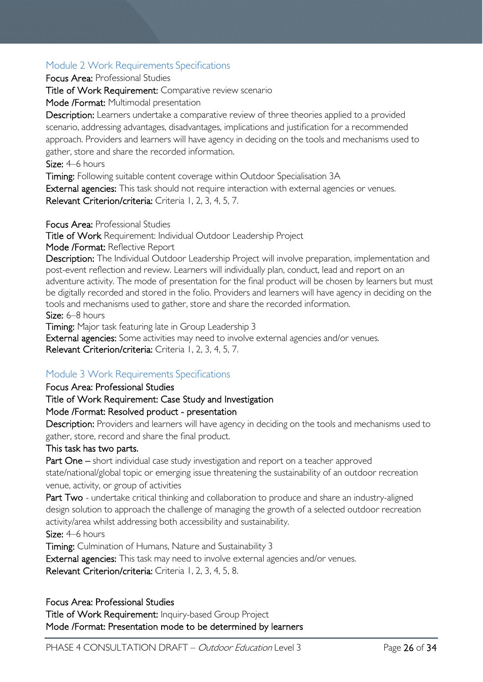### <span id="page-25-0"></span>Module 2 Work Requirements Specifications

Focus Area: Professional Studies

Title of Work Requirement: Comparative review scenario

Mode /Format: Multimodal presentation

Description: Learners undertake a comparative review of three theories applied to a provided scenario, addressing advantages, disadvantages, implications and justification for a recommended approach. Providers and learners will have agency in deciding on the tools and mechanisms used to gather, store and share the recorded information.

Size: 4–6 hours

Timing: Following suitable content coverage within Outdoor Specialisation 3A

External agencies: This task should not require interaction with external agencies or venues. Relevant Criterion/criteria: Criteria 1, 2, 3, 4, 5, 7.

Focus Area: Professional Studies

Title of Work Requirement: Individual Outdoor Leadership Project

Mode /Format: Reflective Report

Description: The Individual Outdoor Leadership Project will involve preparation, implementation and post-event reflection and review. Learners will individually plan, conduct, lead and report on an adventure activity. The mode of presentation for the final product will be chosen by learners but must be digitally recorded and stored in the folio. Providers and learners will have agency in deciding on the tools and mechanisms used to gather, store and share the recorded information.

Size: 6–8 hours

Timing: Major task featuring late in Group Leadership 3

External agencies: Some activities may need to involve external agencies and/or venues. Relevant Criterion/criteria: Criteria 1, 2, 3, 4, 5, 7.

### <span id="page-25-1"></span>Module 3 Work Requirements Specifications

#### Focus Area: Professional Studies

#### Title of Work Requirement: Case Study and Investigation

#### Mode /Format: Resolved product - presentation

Description: Providers and learners will have agency in deciding on the tools and mechanisms used to gather, store, record and share the final product.

#### This task has two parts.

Part One – short individual case study investigation and report on a teacher approved state/national/global topic or emerging issue threatening the sustainability of an outdoor recreation venue, activity, or group of activities

Part Two - undertake critical thinking and collaboration to produce and share an industry-aligned design solution to approach the challenge of managing the growth of a selected outdoor recreation activity/area whilst addressing both accessibility and sustainability.

Size: 4–6 hours

Timing: Culmination of Humans, Nature and Sustainability 3

External agencies: This task may need to involve external agencies and/or venues.

Relevant Criterion/criteria: Criteria I. 2, 3, 4, 5, 8.

#### Focus Area: Professional Studies

Title of Work Requirement: Inquiry-based Group Project Mode /Format: Presentation mode to be determined by learners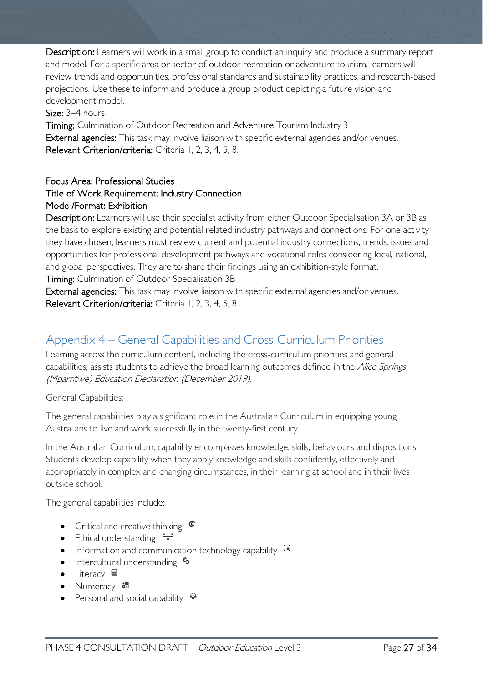Description: Learners will work in a small group to conduct an inquiry and produce a summary report and model. For a specific area or sector of outdoor recreation or adventure tourism, learners will review trends and opportunities, professional standards and sustainability practices, and research-based projections. Use these to inform and produce a group product depicting a future vision and development model.

Size: 3–4 hours

Timing: Culmination of Outdoor Recreation and Adventure Tourism Industry 3 External agencies: This task may involve liaison with specific external agencies and/or venues. Relevant Criterion/criteria: Criteria 1, 2, 3, 4, 5, 8.

### Focus Area: Professional Studies

#### Title of Work Requirement: Industry Connection Mode /Format: Exhibition

Description: Learners will use their specialist activity from either Outdoor Specialisation 3A or 3B as the basis to explore existing and potential related industry pathways and connections. For one activity they have chosen, learners must review current and potential industry connections, trends, issues and opportunities for professional development pathways and vocational roles considering local, national, and global perspectives. They are to share their findings using an exhibition-style format.

Timing: Culmination of Outdoor Specialisation 3B

External agencies: This task may involve liaison with specific external agencies and/or venues. Relevant Criterion/criteria: Criteria 1, 2, 3, 4, 5, 8.

# <span id="page-26-0"></span>Appendix 4 – General Capabilities and Cross-Curriculum Priorities

Learning across the curriculum content, including the cross-curriculum priorities and general capabilities, assists students to achieve the broad learning outcomes defined in the Alice Springs (Mparntwe) Education Declaration (December 2019).

General Capabilities:

The general capabilities play a significant role in the Australian Curriculum in equipping young Australians to live and work successfully in the twenty-first century.

In the Australian Curriculum, capability encompasses knowledge, skills, behaviours and dispositions. Students develop capability when they apply knowledge and skills confidently, effectively and appropriately in complex and changing circumstances, in their learning at school and in their lives outside school.

The general capabilities include:

- Critical and creative thinking  $\mathbb{C}$
- Ethical understanding  $\div$
- Information and communication technology capability  $\cdot \cdot$
- Intercultural understanding •
- Literacy  $\blacksquare$
- Numeracy
- Personal and social capability  $\ddot{\ddot{\bullet}}$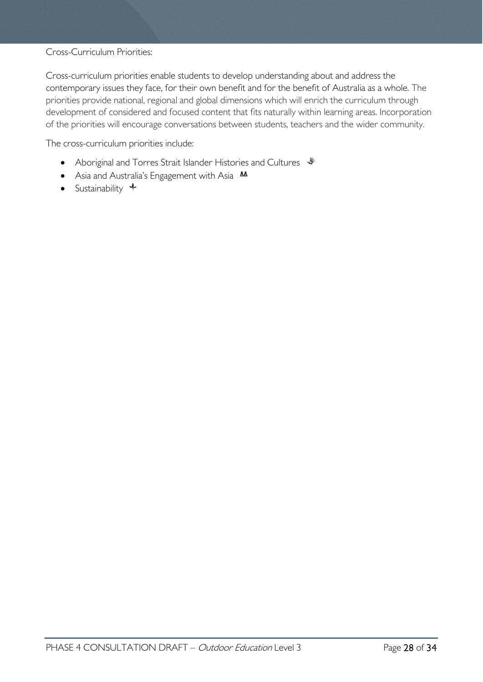#### Cross-Curriculum Priorities:

Cross-curriculum priorities enable students to develop understanding about and address the contemporary issues they face, for their own benefit and for the benefit of Australia as a whole. The priorities provide national, regional and global dimensions which will enrich the curriculum through development of considered and focused content that fits naturally within learning areas. Incorporation of the priorities will encourage conversations between students, teachers and the wider community.

The cross-curriculum priorities include:

- Aboriginal and Torres Strait Islander Histories and Cultures  $\mathcal$
- Asia and Australia's Engagement with Asia **AA**
- Sustainability  $\triangleleft$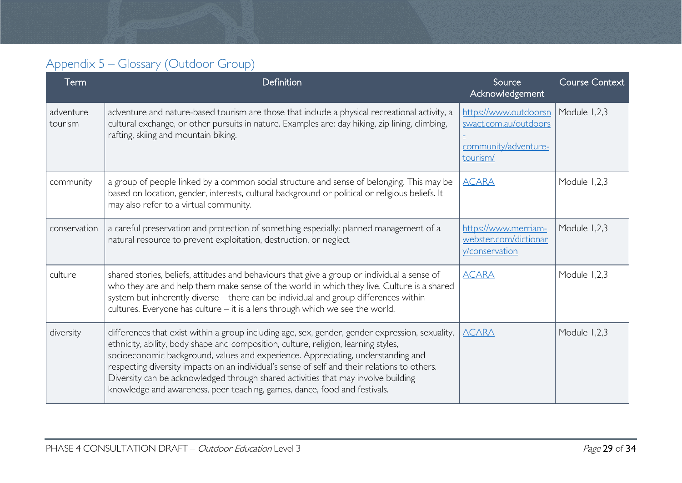# Appendix 5 – Glossary (Outdoor Group)

<span id="page-28-0"></span>

| Term                 | Definition                                                                                                                                                                                                                                                                                                                                                                                                                                                                                                                                   | Source<br>Acknowledgement                                                          | <b>Course Context</b> |
|----------------------|----------------------------------------------------------------------------------------------------------------------------------------------------------------------------------------------------------------------------------------------------------------------------------------------------------------------------------------------------------------------------------------------------------------------------------------------------------------------------------------------------------------------------------------------|------------------------------------------------------------------------------------|-----------------------|
| adventure<br>tourism | adventure and nature-based tourism are those that include a physical recreational activity, a<br>cultural exchange, or other pursuits in nature. Examples are: day hiking, zip lining, climbing,<br>rafting, skiing and mountain biking.                                                                                                                                                                                                                                                                                                     | https://www.outdoorsn<br>swact.com.au/outdoors<br>community/adventure-<br>tourism/ | Module 1,2,3          |
| community            | a group of people linked by a common social structure and sense of belonging. This may be<br>based on location, gender, interests, cultural background or political or religious beliefs. It<br>may also refer to a virtual community.                                                                                                                                                                                                                                                                                                       | <b>ACARA</b>                                                                       | Module 1,2,3          |
| conservation         | a careful preservation and protection of something especially: planned management of a<br>natural resource to prevent exploitation, destruction, or neglect                                                                                                                                                                                                                                                                                                                                                                                  | https://www.merriam-<br>webster.com/dictionar<br>y/conservation                    | Module 1,2,3          |
| culture              | shared stories, beliefs, attitudes and behaviours that give a group or individual a sense of<br>who they are and help them make sense of the world in which they live. Culture is a shared<br>system but inherently diverse - there can be individual and group differences within<br>cultures. Everyone has culture - it is a lens through which we see the world.                                                                                                                                                                          | <b>ACARA</b>                                                                       | Module 1,2,3          |
| diversity            | differences that exist within a group including age, sex, gender, gender expression, sexuality,<br>ethnicity, ability, body shape and composition, culture, religion, learning styles,<br>socioeconomic background, values and experience. Appreciating, understanding and<br>respecting diversity impacts on an individual's sense of self and their relations to others.<br>Diversity can be acknowledged through shared activities that may involve building<br>knowledge and awareness, peer teaching, games, dance, food and festivals. | <b>ACARA</b>                                                                       | Module 1,2,3          |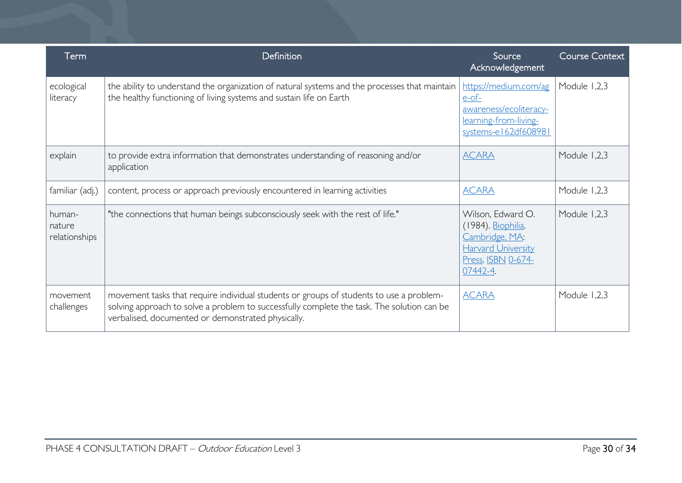| Term                              | <b>Definition</b>                                                                                                                                                                                                                           | Source<br>Acknowledgement                                                                                                | <b>Course Context</b> |
|-----------------------------------|---------------------------------------------------------------------------------------------------------------------------------------------------------------------------------------------------------------------------------------------|--------------------------------------------------------------------------------------------------------------------------|-----------------------|
| ecological<br>literacy            | the ability to understand the organization of natural systems and the processes that maintain<br>the healthy functioning of living systems and sustain life on Earth                                                                        | https://medium.com/ag<br>$e$ -of-<br>awareness/ecoliteracy-<br>learning-from-living-<br>systems-el62df608981             | Module 1,2,3          |
| explain                           | to provide extra information that demonstrates understanding of reasoning and/or<br>application                                                                                                                                             | <b>ACARA</b>                                                                                                             | Module 1,2,3          |
| familiar (adj.)                   | content, process or approach previously encountered in learning activities                                                                                                                                                                  | <b>ACARA</b>                                                                                                             | Module 1,2,3          |
| human-<br>nature<br>relationships | "the connections that human beings subconsciously seek with the rest of life."                                                                                                                                                              | Wilson, Edward O.<br>(1984). Biophilia.<br>Cambridge, MA:<br><b>Harvard University</b><br>Press. ISBN 0-674-<br>07442-4. | Module 1,2,3          |
| movement<br>challenges            | movement tasks that require individual students or groups of students to use a problem-<br>solving approach to solve a problem to successfully complete the task. The solution can be<br>verbalised, documented or demonstrated physically. | <b>ACARA</b>                                                                                                             | Module 1,2,3          |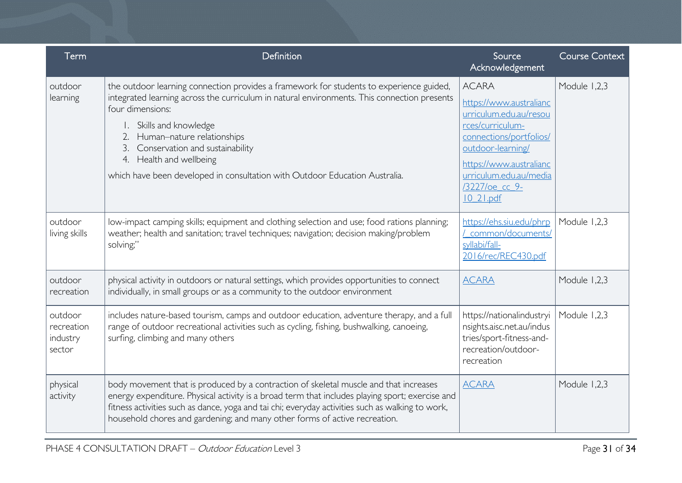| Term                                        | Definition                                                                                                                                                                                                                                                                                                                                                                                                                | Source<br>Acknowledgement                                                                                                                                                                                                        | <b>Course Context</b> |
|---------------------------------------------|---------------------------------------------------------------------------------------------------------------------------------------------------------------------------------------------------------------------------------------------------------------------------------------------------------------------------------------------------------------------------------------------------------------------------|----------------------------------------------------------------------------------------------------------------------------------------------------------------------------------------------------------------------------------|-----------------------|
| outdoor<br>learning                         | the outdoor learning connection provides a framework for students to experience guided,<br>integrated learning across the curriculum in natural environments. This connection presents<br>four dimensions:<br>Skills and knowledge<br>Human-nature relationships<br>2.<br>Conservation and sustainability<br>3.<br>4. Health and wellbeing<br>which have been developed in consultation with Outdoor Education Australia. | <b>ACARA</b><br>https://www.australianc<br>urriculum.edu.au/resou<br>rces/curriculum-<br>connections/portfolios/<br>outdoor-learning/<br>https://www.australianc<br>urriculum.edu.au/media<br>/3227/oe cc 9-<br><u>10 21.pdf</u> | Module 1,2,3          |
| outdoor<br>living skills                    | low-impact camping skills; equipment and clothing selection and use; food rations planning;<br>weather; health and sanitation; travel techniques; navigation; decision making/problem<br>solving;"                                                                                                                                                                                                                        | https://ehs.siu.edu/phrp<br>common/documents/<br>syllabi/fall-<br>2016/rec/REC430.pdf                                                                                                                                            | Module 1,2,3          |
| outdoor<br>recreation                       | physical activity in outdoors or natural settings, which provides opportunities to connect<br>individually, in small groups or as a community to the outdoor environment                                                                                                                                                                                                                                                  | <b>ACARA</b>                                                                                                                                                                                                                     | Module 1,2,3          |
| outdoor<br>recreation<br>industry<br>sector | includes nature-based tourism, camps and outdoor education, adventure therapy, and a full<br>range of outdoor recreational activities such as cycling, fishing, bushwalking, canoeing,<br>surfing, climbing and many others                                                                                                                                                                                               | https://nationalindustryi<br>nsights.aisc.net.au/indus<br>tries/sport-fitness-and-<br>recreation/outdoor-<br>recreation                                                                                                          | Module 1,2,3          |
| physical<br>activity                        | body movement that is produced by a contraction of skeletal muscle and that increases<br>energy expenditure. Physical activity is a broad term that includes playing sport; exercise and<br>fitness activities such as dance, yoga and tai chi; everyday activities such as walking to work,<br>household chores and gardening; and many other forms of active recreation.                                                | <b>ACARA</b>                                                                                                                                                                                                                     | Module 1,2,3          |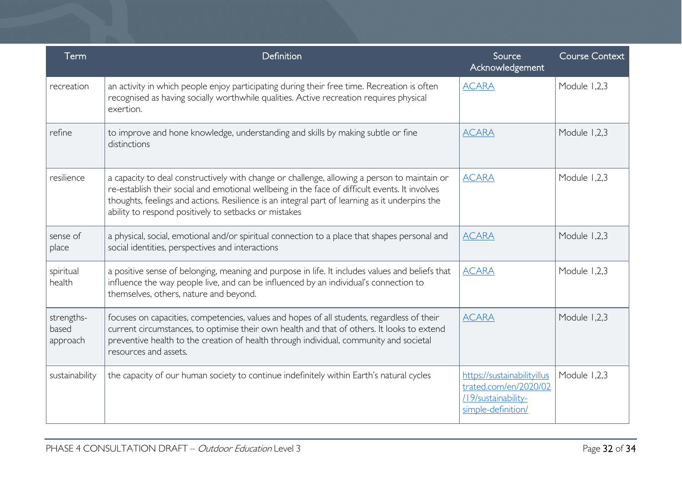| Term                            | Definition                                                                                                                                                                                                                                                                                                                                                | Source<br>Acknowledgement                                                                         | <b>Course Context</b> |
|---------------------------------|-----------------------------------------------------------------------------------------------------------------------------------------------------------------------------------------------------------------------------------------------------------------------------------------------------------------------------------------------------------|---------------------------------------------------------------------------------------------------|-----------------------|
| recreation                      | an activity in which people enjoy participating during their free time. Recreation is often<br>recognised as having socially worthwhile qualities. Active recreation requires physical<br>exertion.                                                                                                                                                       | <b>ACARA</b>                                                                                      | Module 1,2,3          |
| refine                          | to improve and hone knowledge, understanding and skills by making subtle or fine<br>distinctions                                                                                                                                                                                                                                                          | <b>ACARA</b>                                                                                      | Module 1,2,3          |
| resilience                      | a capacity to deal constructively with change or challenge, allowing a person to maintain or<br>re-establish their social and emotional wellbeing in the face of difficult events. It involves<br>thoughts, feelings and actions. Resilience is an integral part of learning as it underpins the<br>ability to respond positively to setbacks or mistakes | <b>ACARA</b>                                                                                      | Module 1,2,3          |
| sense of<br>place               | a physical, social, emotional and/or spiritual connection to a place that shapes personal and<br>social identities, perspectives and interactions                                                                                                                                                                                                         | <b>ACARA</b>                                                                                      | Module 1,2,3          |
| spiritual<br>health             | a positive sense of belonging, meaning and purpose in life. It includes values and beliefs that<br>influence the way people live, and can be influenced by an individual's connection to<br>themselves, others, nature and beyond.                                                                                                                        | <b>ACARA</b>                                                                                      | Module 1,2,3          |
| strengths-<br>based<br>approach | focuses on capacities, competencies, values and hopes of all students, regardless of their<br>current circumstances, to optimise their own health and that of others. It looks to extend<br>preventive health to the creation of health through individual, community and societal<br>resources and assets.                                               | <b>ACARA</b>                                                                                      | Module 1,2,3          |
| sustainability                  | the capacity of our human society to continue indefinitely within Earth's natural cycles                                                                                                                                                                                                                                                                  | https://sustainabilityillus<br>trated.com/en/2020/02<br>/19/sustainability-<br>simple-definition/ | Module 1,2,3          |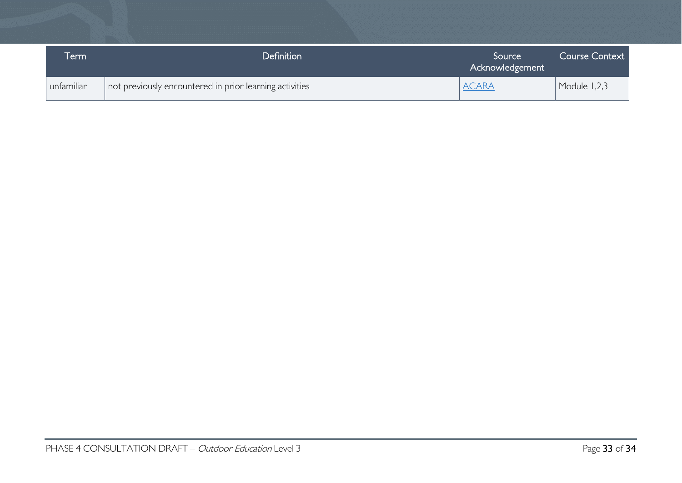| erm        | Definition                                              | Source<br>Acknowledgement | <b>Course Context</b> |
|------------|---------------------------------------------------------|---------------------------|-----------------------|
| unfamiliar | not previously encountered in prior learning activities | <b>ACARA</b>              | Module 1,2,3          |